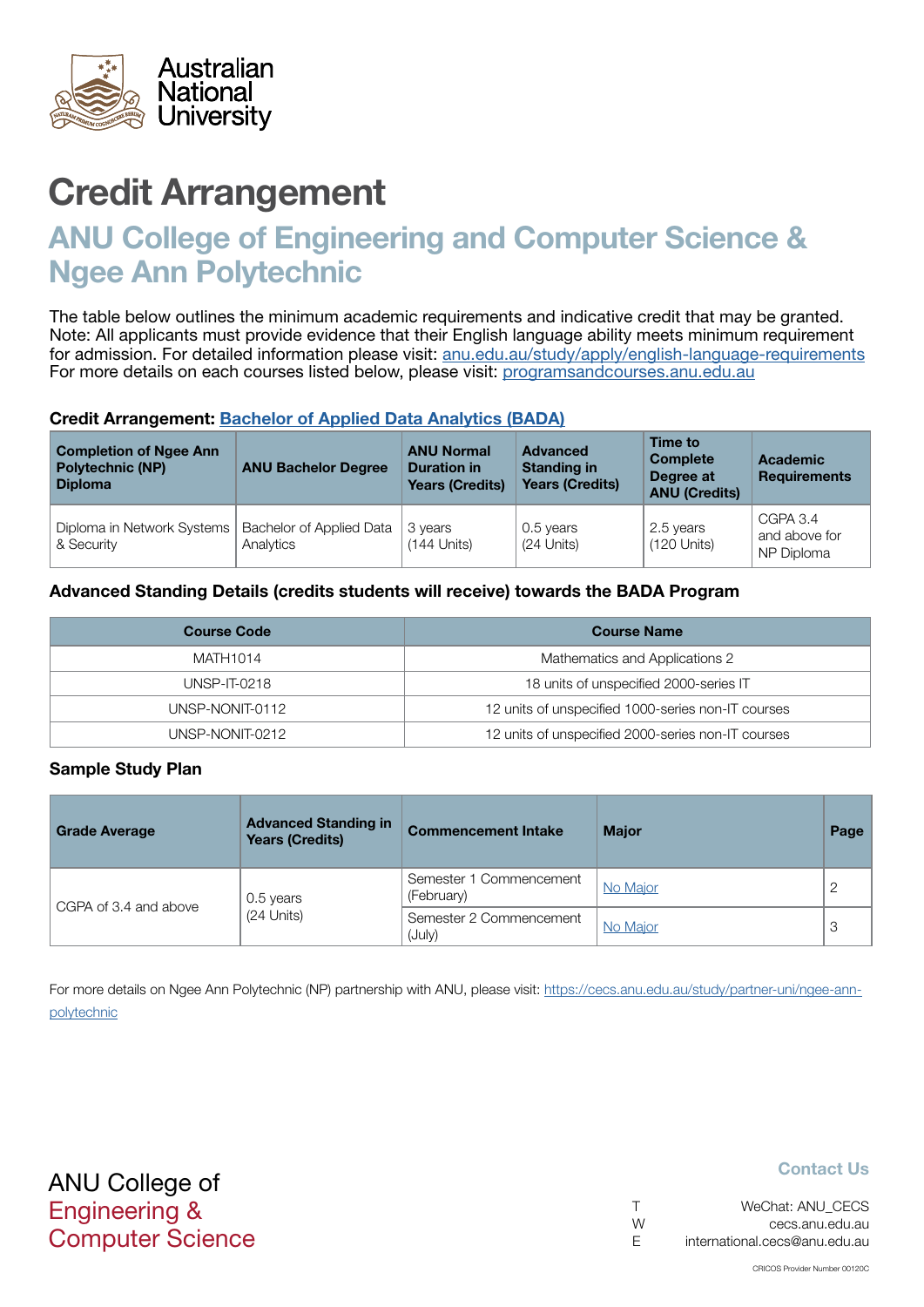

# Credit Arrangement

# ANU College of Engineering and Computer Science & Ngee Ann Polytechnic

The table below outlines the minimum academic requirements and indicative credit that may be granted. Note: All applicants must provide evidence that their English language ability meets minimum requirement for admission. For detailed information please visit: [anu.edu.au/study/apply/english-language-requirements](http://anu.edu.au/study/apply/english-language-requirements) For more details on each courses listed below, please visit: [programsandcourses.anu.edu.au](http://programsandcourses.anu.edu.au/program/BIT)

#### Credit Arrangement: [Bachelor of Applied Data Analytics](http://programsandcourses.anu.edu.au/program/BADAN) (BADA)

| <b>Completion of Ngee Ann</b><br><b>Polytechnic (NP)</b><br><b>Diploma</b> | <b>ANU Bachelor Degree</b>            | <b>ANU Normal</b><br><b>Duration in</b><br><b>Years (Credits)</b> | <b>Advanced</b><br><b>Standing in</b><br><b>Years (Credits)</b> | Time to<br><b>Complete</b><br>Degree at<br><b>ANU (Credits)</b> | <b>Academic</b><br><b>Requirements</b>  |
|----------------------------------------------------------------------------|---------------------------------------|-------------------------------------------------------------------|-----------------------------------------------------------------|-----------------------------------------------------------------|-----------------------------------------|
| Diploma in Network Systems<br>& Security                                   | Bachelor of Applied Data<br>Analytics | 3 years<br>$(144$ Units)                                          | 0.5 years<br>(24 Units)                                         | 2.5 years<br>$(120$ Units)                                      | CGPA 3.4<br>and above for<br>NP Diploma |

### Advanced Standing Details (credits students will receive) towards the BADA Program

| <b>Course Code</b> | <b>Course Name</b>                                 |
|--------------------|----------------------------------------------------|
| MATH1014           | Mathematics and Applications 2                     |
| UNSP-IT-0218       | 18 units of unspecified 2000-series IT             |
| UNSP-NONIT-0112    | 12 units of unspecified 1000-series non-IT courses |
| UNSP-NONIT-0212    | 12 units of unspecified 2000-series non-IT courses |

#### Sample Study Plan

| <b>Grade Average</b>  | <b>Advanced Standing in</b><br><b>Years (Credits)</b> | <b>Commencement Intake</b>            | <b>Major</b> | Page |
|-----------------------|-------------------------------------------------------|---------------------------------------|--------------|------|
| CGPA of 3.4 and above | 0.5 years                                             | Semester 1 Commencement<br>(February) | No Major     |      |
|                       | (24 Units)                                            | Semester 2 Commencement<br>(July)     | No Major     | 3    |

For more details on Ngee Ann Polytechnic (NP) partnership with ANU, please visit: https://cecs.anu.edu.au/study/partner-uni/ngee-annpolytechnic

## ANU College of Engineering & Computer Science

#### Contact Us

|   | WeChat: ANU CECS              |
|---|-------------------------------|
| W | cecs.anu.edu.au               |
| F | international.cecs@anu.edu.au |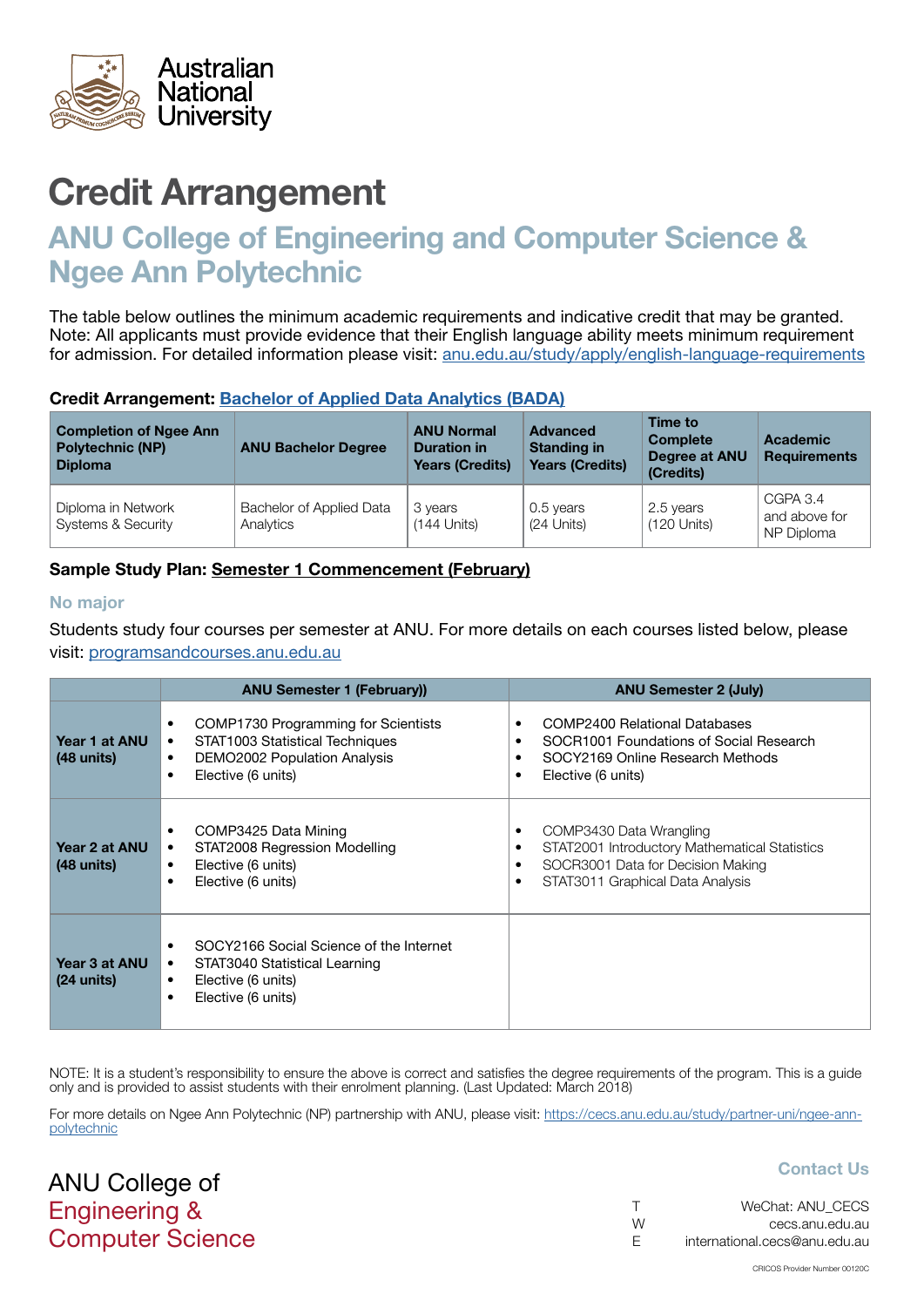<span id="page-1-0"></span>

# Credit Arrangement

# ANU College of Engineering and Computer Science & Ngee Ann Polytechnic

The table below outlines the minimum academic requirements and indicative credit that may be granted. Note: All applicants must provide evidence that their English language ability meets minimum requirement for admission. For detailed information please visit: [anu.edu.au/study/apply/english-language-requirements](http://anu.edu.au/study/apply/english-language-requirements)

### Credit Arrangement: [Bachelor of Applied Data Analytics](http://programsandcourses.anu.edu.au/program/BADAN) (BADA)

| <b>Completion of Ngee Ann</b><br><b>Polytechnic (NP)</b><br><b>Diploma</b> | <b>ANU Bachelor Degree</b>            | <b>ANU Normal</b><br><b>Duration in</b><br><b>Years (Credits)</b> | <b>Advanced</b><br><b>Standing in</b><br><b>Years (Credits)</b> | Time to<br><b>Complete</b><br>Degree at ANU<br>(Credits) | Academic<br><b>Requirements</b>         |
|----------------------------------------------------------------------------|---------------------------------------|-------------------------------------------------------------------|-----------------------------------------------------------------|----------------------------------------------------------|-----------------------------------------|
| Diploma in Network<br><b>Systems &amp; Security</b>                        | Bachelor of Applied Data<br>Analytics | 3 years<br>$(144$ Units)                                          | 0.5 years<br>(24 Units)                                         | 2.5 years<br>$(120$ Units)                               | CGPA 3.4<br>and above for<br>NP Diploma |

## Sample Study Plan: Semester 1 Commencement (February)

#### No major

ANU College of Engineering &

Computer Science

Students study four courses per semester at ANU. For more details on each courses listed below, please visit: [programsandcourses.anu.edu.au](http://programsandcourses.anu.edu.au/program/BIT)

|                                       | <b>ANU Semester 1 (February))</b>                                                                                                                                                       | <b>ANU Semester 2 (July)</b>                                                                                                                                          |
|---------------------------------------|-----------------------------------------------------------------------------------------------------------------------------------------------------------------------------------------|-----------------------------------------------------------------------------------------------------------------------------------------------------------------------|
| Year 1 at ANU<br>$(48 \text{ units})$ | COMP1730 Programming for Scientists<br>$\bullet$<br>STAT1003 Statistical Techniques<br>$\bullet$<br><b>DEMO2002 Population Analysis</b><br>$\bullet$<br>Elective (6 units)<br>$\bullet$ | COMP2400 Relational Databases<br>٠<br>SOCR1001 Foundations of Social Research<br>SOCY2169 Online Research Methods<br>Elective (6 units)<br>٠                          |
| Year 2 at ANU<br>$(48 \text{ units})$ | COMP3425 Data Mining<br>$\bullet$<br>STAT2008 Regression Modelling<br>$\bullet$<br>Elective (6 units)<br>$\bullet$<br>Elective (6 units)<br>$\bullet$                                   | COMP3430 Data Wrangling<br>٠<br>STAT2001 Introductory Mathematical Statistics<br>٠<br>SOCR3001 Data for Decision Making<br>٠<br>STAT3011 Graphical Data Analysis<br>٠ |
| Year 3 at ANU<br>$(24 \text{ units})$ | SOCY2166 Social Science of the Internet<br>STAT3040 Statistical Learning<br>٠<br>Elective (6 units)<br>$\bullet$<br>Elective (6 units)<br>$\bullet$                                     |                                                                                                                                                                       |

NOTE: It is a student's responsibility to ensure the above is correct and satisfies the degree requirements of the program. This is a quide only and is provided to assist students with their enrolment planning. (Last Updated: March 2018)

For more details on Ngee Ann Polytechnic (NP) partnership with ANU, please visit: https://cecs.anu.edu.au/study/partner-uni/ngee-annpolytechnic

### Contact Us

|    | WeChat: ANU CECS              |
|----|-------------------------------|
| W  | cecs.anu.edu.au               |
| F. | international.cecs@anu.edu.au |